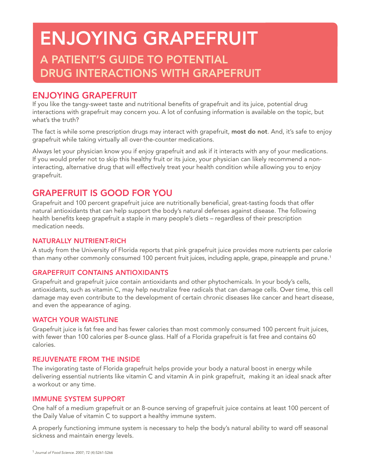# **ENJOYING GRAPEFRUIT A PATIENT'S GUIDE TO POTENTIAL DRUG INTERACTIONS WITH GRAPEFRUIT**

## **ENJOYING GRAPEFRUIT**

If you like the tangy-sweet taste and nutritional benefits of grapefruit and its juice, potential drug interactions with grapefruit may concern you. A lot of confusing information is available on the topic, but what's the truth?

The fact is while some prescription drugs may interact with grapefruit, most do not. And, it's safe to enjoy grapefruit while taking virtually all over-the-counter medications.

Always let your physician know you if enjoy grapefruit and ask if it interacts with any of your medications. If you would prefer not to skip this healthy fruit or its juice, your physician can likely recommend a noninteracting, alternative drug that will effectively treat your health condition while allowing you to enjoy grapefruit.

# **GRAPEFRUIT IS GOOD FOR YOU**

Grapefruit and 100 percent grapefruit juice are nutritionally beneficial, great-tasting foods that offer natural antioxidants that can help support the body's natural defenses against disease. The following health benefits keep grapefruit a staple in many people's diets – regardless of their prescription medication needs.

### **NATURALLY NUTRIENT-RICH**

A study from the University of Florida reports that pink grapefruit juice provides more nutrients per calorie than many other commonly consumed 100 percent fruit juices, including apple, grape, pineapple and prune.<sup>1</sup>

## **GRAPEFRUIT CONTAINS ANTIOXIDANTS**

Grapefruit and grapefruit juice contain antioxidants and other phytochemicals. In your body's cells, antioxidants, such as vitamin C, may help neutralize free radicals that can damage cells. Over time, this cell damage may even contribute to the development of certain chronic diseases like cancer and heart disease, and even the appearance of aging.

### **WATCH YOUR WAISTLINE**

Grapefruit juice is fat free and has fewer calories than most commonly consumed 100 percent fruit juices, with fewer than 100 calories per 8-ounce glass. Half of a Florida grapefruit is fat free and contains 60 calories.

### **REJUVENATE FROM THE INSIDE**

The invigorating taste of Florida grapefruit helps provide your body a natural boost in energy while delivering essential nutrients like vitamin C and vitamin A in pink grapefruit, making it an ideal snack after a workout or any time.

### **IMMUNE SYSTEM SUPPORT**

One half of a medium grapefruit or an 8-ounce serving of grapefruit juice contains at least 100 percent of the Daily Value of vitamin C to support a healthy immune system.

A properly functioning immune system is necessary to help the body's natural ability to ward off seasonal sickness and maintain energy levels.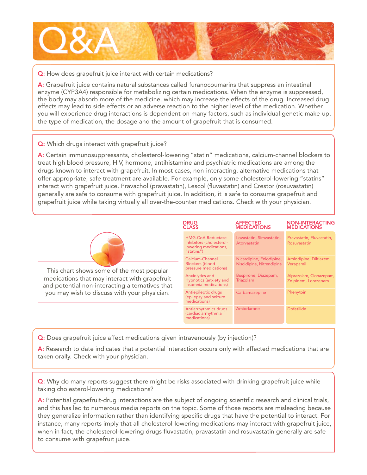

#### **Q:** How does grapefruit juice interact with certain medications?

**A:** Grapefruit juice contains natural substances called furanocoumarins that suppress an intestinal enzyme (CYP3A4) responsible for metabolizing certain medications. When the enzyme is suppressed, the body may absorb more of the medicine, which may increase the effects of the drug. Increased drug effects may lead to side effects or an adverse reaction to the higher level of the medication. Whether you will experience drug interactions is dependent on many factors, such as individual genetic make-up, the type of medication, the dosage and the amount of grapefruit that is consumed.

#### **Q:** Which drugs interact with grapefruit juice?

**A:** Certain immunosuppressants, cholesterol-lowering "statin" medications, calcium-channel blockers to treat high blood pressure, HIV, hormone, antihistamine and psychiatric medications are among the drugs known to interact with grapefruit. In most cases, non-interacting, alternative medications that offer appropriate, safe treatment are available. For example, only some cholesterol-lowering "statins" interact with grapefruit juice. Pravachol (pravastatin), Lescol (fluvastatin) and Crestor (rosuvastatin) generally are safe to consume with grapefruit juice. In addition, it is safe to consume grapefruit and grapefruit juice while taking virtually all over-the-counter medications. Check with your physician.



This chart shows some of the most popular medications that may interact with grapefruit and potential non-interacting alternatives that you may wish to discuss with your physician.

| <b>DRUG</b><br><b>CLASS</b> |                                                                                             | <b>AFFECTED</b><br><b>MEDICATIONS</b>                 | <b>NON-INTERACTING</b><br><b>MEDICATIONS</b>   |
|-----------------------------|---------------------------------------------------------------------------------------------|-------------------------------------------------------|------------------------------------------------|
|                             | <b>HMG-CoA Reductase</b><br>Inhibitors (cholesterol-<br>lowering medications,<br>"statins") | Lovastatin, Simvastatin,<br>Atorvastatin              | Pravastatin, Fluvastatin,<br>Rosuvastatin      |
|                             | Calcium-Channel<br><b>Blockers</b> (blood<br>pressure medications)                          | Nicardipine, Felodipine,<br>Nisoldipine, Nitrendipine | Amlodipine, Diltiazem,<br>Verapamil            |
|                             | Anxiolytics and<br>Hypnotics (anxiety and<br>insomnia medications)                          | Buspirone, Diazepam,<br>Triazolam                     | Alprazolam, Clonazepam,<br>Zolpidem, Lorazepam |
|                             | Antiepileptic drugs<br>(epilepsy and seizure<br>medications)                                | Carbamazepine                                         | Phenytoin                                      |
|                             | Antiarrhythmics drugs<br>(cardiac arrhythmia<br>medications)                                | Amiodarone                                            | <b>Dofetilide</b>                              |

**Q:** Does grapefruit juice affect medications given intravenously (by injection)?

**A:** Research to date indicates that a potential interaction occurs only with affected medications that are taken orally. Check with your physician.

**Q:** Why do many reports suggest there might be risks associated with drinking grapefruit juice while taking cholesterol-lowering medications?

A: Potential grapefruit-drug interactions are the subject of ongoing scientific research and clinical trials, and this has led to numerous media reports on the topic. Some of those reports are misleading because they generalize information rather than identifying specific drugs that have the potential to interact. For instance, many reports imply that all cholesterol-lowering medications may interact with grapefruit juice, when in fact, the cholesterol-lowering drugs fluvastatin, pravastatin and rosuvastatin generally are safe to consume with grapefruit juice.